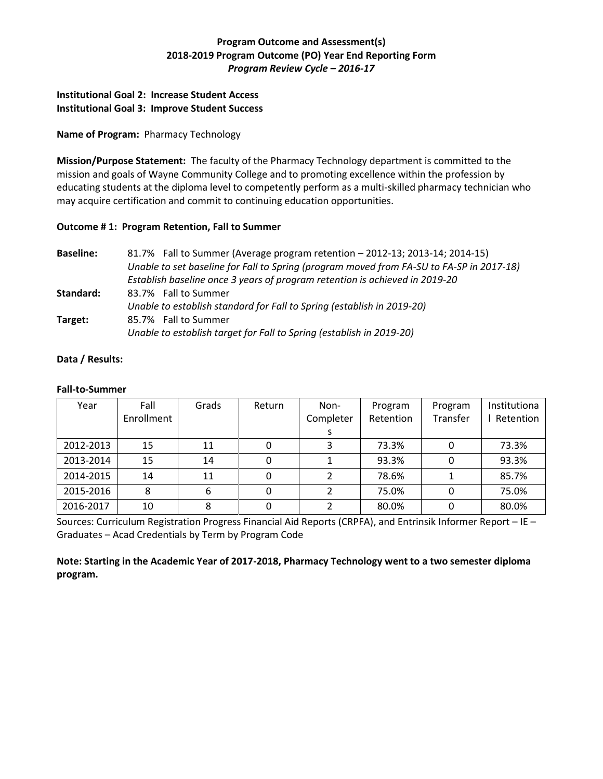# **Program Outcome and Assessment(s) 2018-2019 Program Outcome (PO) Year End Reporting Form** *Program Review Cycle – 2016-17*

## **Institutional Goal 2: Increase Student Access Institutional Goal 3: Improve Student Success**

# **Name of Program:** Pharmacy Technology

**Mission/Purpose Statement:** The faculty of the Pharmacy Technology department is committed to the mission and goals of Wayne Community College and to promoting excellence within the profession by educating students at the diploma level to competently perform as a multi-skilled pharmacy technician who may acquire certification and commit to continuing education opportunities.

## **Outcome # 1: Program Retention, Fall to Summer**

| <b>Baseline:</b> | 81.7% Fall to Summer (Average program retention - 2012-13; 2013-14; 2014-15)             |  |  |  |  |
|------------------|------------------------------------------------------------------------------------------|--|--|--|--|
|                  | Unable to set baseline for Fall to Spring (program moved from FA-SU to FA-SP in 2017-18) |  |  |  |  |
|                  | Establish baseline once 3 years of program retention is achieved in 2019-20              |  |  |  |  |
| Standard:        | 83.7% Fall to Summer                                                                     |  |  |  |  |
|                  | Unable to establish standard for Fall to Spring (establish in 2019-20)                   |  |  |  |  |
| Target:          | 85.7% Fall to Summer                                                                     |  |  |  |  |
|                  | Unable to establish target for Fall to Spring (establish in 2019-20)                     |  |  |  |  |

## **Data / Results:**

### **Fall-to-Summer**

| Year      | Fall       | Grads | Return | Non-      | Program   | Program  | Institutiona |
|-----------|------------|-------|--------|-----------|-----------|----------|--------------|
|           | Enrollment |       |        | Completer | Retention | Transfer | Retention    |
|           |            |       |        |           |           |          |              |
| 2012-2013 | 15         | 11    |        |           | 73.3%     |          | 73.3%        |
| 2013-2014 | 15         | 14    | 0      |           | 93.3%     |          | 93.3%        |
| 2014-2015 | 14         | 11    |        |           | 78.6%     |          | 85.7%        |
| 2015-2016 | 8          |       |        |           | 75.0%     |          | 75.0%        |
| 2016-2017 | 10         |       |        |           | 80.0%     | 0        | 80.0%        |

Sources: Curriculum Registration Progress Financial Aid Reports (CRPFA), and Entrinsik Informer Report – IE – Graduates – Acad Credentials by Term by Program Code

### **Note: Starting in the Academic Year of 2017-2018, Pharmacy Technology went to a two semester diploma program.**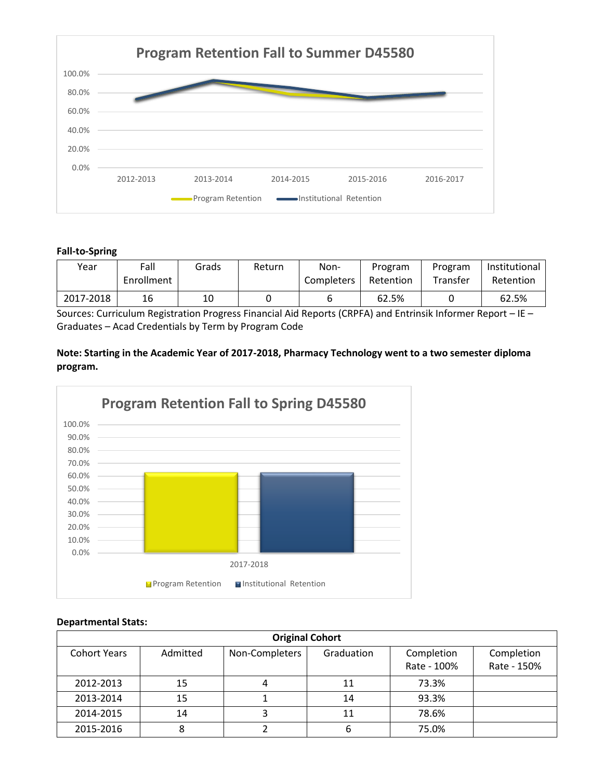

### **Fall-to-Spring**

| Year      | Fall       | Grads | Return | Non-              | Program   | Program  | Institutional |
|-----------|------------|-------|--------|-------------------|-----------|----------|---------------|
|           | Enrollment |       |        | <b>Completers</b> | Retention | Transfer | Retention     |
| 2017-2018 | 16         | 10    |        |                   | 62.5%     |          | 62.5%         |

Sources: Curriculum Registration Progress Financial Aid Reports (CRPFA) and Entrinsik Informer Report – IE – Graduates – Acad Credentials by Term by Program Code

**Note: Starting in the Academic Year of 2017-2018, Pharmacy Technology went to a two semester diploma program.**



#### **Departmental Stats:**

| <b>Original Cohort</b> |          |                |            |                           |                           |  |  |
|------------------------|----------|----------------|------------|---------------------------|---------------------------|--|--|
| <b>Cohort Years</b>    | Admitted | Non-Completers | Graduation | Completion<br>Rate - 100% | Completion<br>Rate - 150% |  |  |
| 2012-2013              | 15       |                | 11         | 73.3%                     |                           |  |  |
| 2013-2014              | 15       |                | 14         | 93.3%                     |                           |  |  |
| 2014-2015              | 14       |                | 11         | 78.6%                     |                           |  |  |
| 2015-2016              | 8        |                | 6          | 75.0%                     |                           |  |  |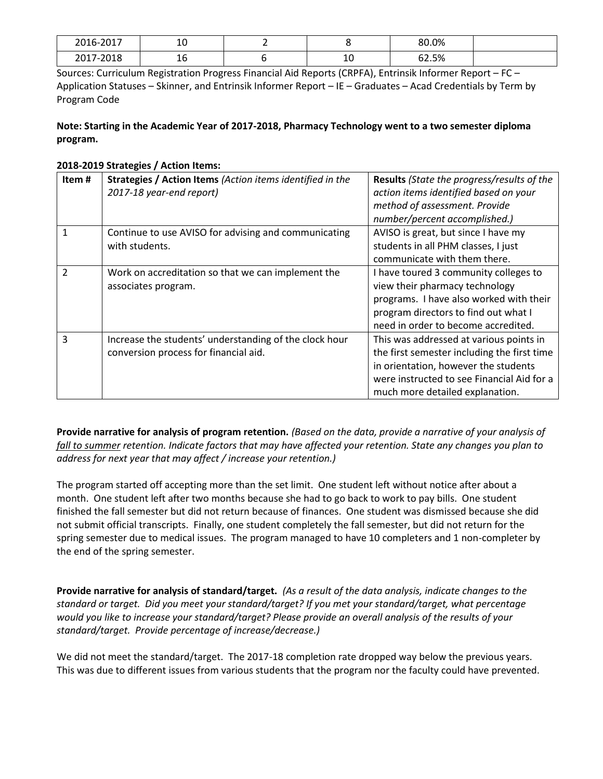| 2017<br>2016-20<br>-494      | ᅭ |   | 80.0% |  |
|------------------------------|---|---|-------|--|
| 2015<br>วการ<br>ZUI7<br>2010 | ᅩ | ᅩ | 62.5% |  |

Sources: Curriculum Registration Progress Financial Aid Reports (CRPFA), Entrinsik Informer Report – FC – Application Statuses – Skinner, and Entrinsik Informer Report – IE – Graduates – Acad Credentials by Term by Program Code

## **Note: Starting in the Academic Year of 2017-2018, Pharmacy Technology went to a two semester diploma program.**

#### **2018-2019 Strategies / Action Items:**

| Item# | Strategies / Action Items (Action items identified in the<br>2017-18 year-end report)           | <b>Results</b> (State the progress/results of the<br>action items identified based on your<br>method of assessment. Provide<br>number/percent accomplished.)                                                    |
|-------|-------------------------------------------------------------------------------------------------|-----------------------------------------------------------------------------------------------------------------------------------------------------------------------------------------------------------------|
| 1     | Continue to use AVISO for advising and communicating<br>with students.                          | AVISO is great, but since I have my<br>students in all PHM classes, I just<br>communicate with them there.                                                                                                      |
| 2     | Work on accreditation so that we can implement the<br>associates program.                       | I have toured 3 community colleges to<br>view their pharmacy technology<br>programs. I have also worked with their<br>program directors to find out what I<br>need in order to become accredited.               |
| 3     | Increase the students' understanding of the clock hour<br>conversion process for financial aid. | This was addressed at various points in<br>the first semester including the first time<br>in orientation, however the students<br>were instructed to see Financial Aid for a<br>much more detailed explanation. |

**Provide narrative for analysis of program retention.** *(Based on the data, provide a narrative of your analysis of fall to summer retention. Indicate factors that may have affected your retention. State any changes you plan to address for next year that may affect / increase your retention.)* 

The program started off accepting more than the set limit. One student left without notice after about a month. One student left after two months because she had to go back to work to pay bills. One student finished the fall semester but did not return because of finances. One student was dismissed because she did not submit official transcripts. Finally, one student completely the fall semester, but did not return for the spring semester due to medical issues. The program managed to have 10 completers and 1 non-completer by the end of the spring semester.

**Provide narrative for analysis of standard/target.** *(As a result of the data analysis, indicate changes to the standard or target. Did you meet your standard/target? If you met your standard/target, what percentage would you like to increase your standard/target? Please provide an overall analysis of the results of your standard/target. Provide percentage of increase/decrease.)* 

We did not meet the standard/target. The 2017-18 completion rate dropped way below the previous years. This was due to different issues from various students that the program nor the faculty could have prevented.